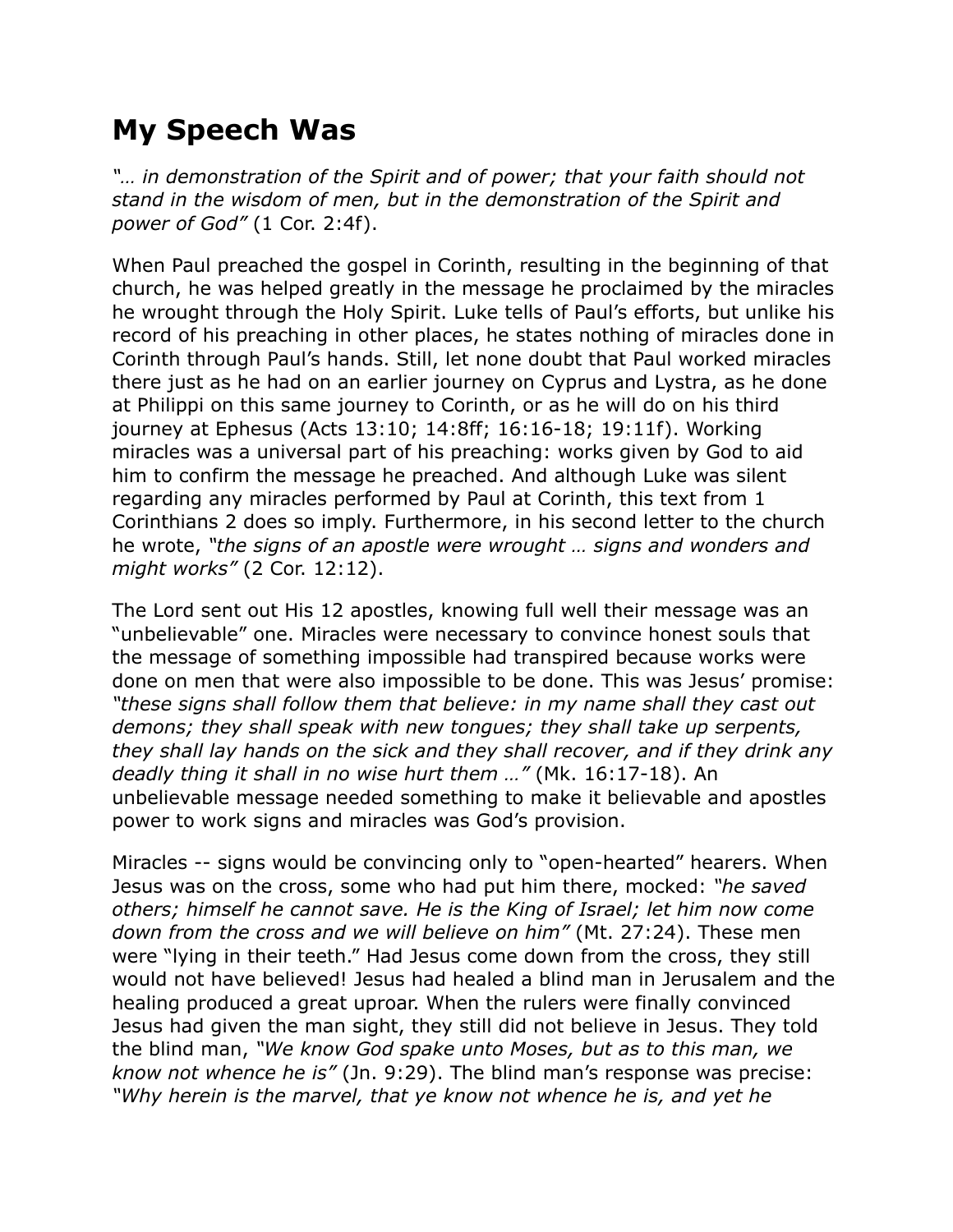## **My Speech Was**

*"… in demonstration of the Spirit and of power; that your faith should not stand in the wisdom of men, but in the demonstration of the Spirit and power of God"* (1 Cor. 2:4f).

When Paul preached the gospel in Corinth, resulting in the beginning of that church, he was helped greatly in the message he proclaimed by the miracles he wrought through the Holy Spirit. Luke tells of Paul's efforts, but unlike his record of his preaching in other places, he states nothing of miracles done in Corinth through Paul's hands. Still, let none doubt that Paul worked miracles there just as he had on an earlier journey on Cyprus and Lystra, as he done at Philippi on this same journey to Corinth, or as he will do on his third journey at Ephesus (Acts 13:10; 14:8ff; 16:16-18; 19:11f). Working miracles was a universal part of his preaching: works given by God to aid him to confirm the message he preached. And although Luke was silent regarding any miracles performed by Paul at Corinth, this text from 1 Corinthians 2 does so imply. Furthermore, in his second letter to the church he wrote, *"the signs of an apostle were wrought … signs and wonders and might works"* (2 Cor. 12:12).

The Lord sent out His 12 apostles, knowing full well their message was an "unbelievable" one. Miracles were necessary to convince honest souls that the message of something impossible had transpired because works were done on men that were also impossible to be done. This was Jesus' promise: *"these signs shall follow them that believe: in my name shall they cast out demons; they shall speak with new tongues; they shall take up serpents, they shall lay hands on the sick and they shall recover, and if they drink any deadly thing it shall in no wise hurt them …"* (Mk. 16:17-18). An unbelievable message needed something to make it believable and apostles power to work signs and miracles was God's provision.

Miracles -- signs would be convincing only to "open-hearted" hearers. When Jesus was on the cross, some who had put him there, mocked: *"he saved others; himself he cannot save. He is the King of Israel; let him now come down from the cross and we will believe on him"* (Mt. 27:24). These men were "lying in their teeth." Had Jesus come down from the cross, they still would not have believed! Jesus had healed a blind man in Jerusalem and the healing produced a great uproar. When the rulers were finally convinced Jesus had given the man sight, they still did not believe in Jesus. They told the blind man, *"We know God spake unto Moses, but as to this man, we know not whence he is"* (Jn. 9:29). The blind man's response was precise: *"Why herein is the marvel, that ye know not whence he is, and yet he*